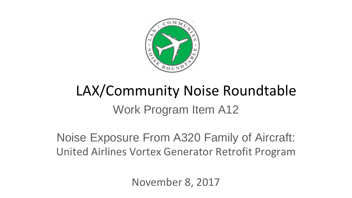

# Work Program Item A12 LAX/Community Noise Roundtable

Noise Exposure From A320 Family of Aircraft: United Airlines Vortex Generator Retrofit Program

November 8, 2017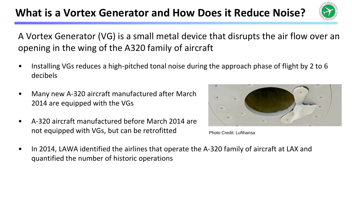## **What is a Vortex Generator and How Does it Reduce Noise?**



A Vortex Generator (VG) is a small metal device that disrupts the air flow over an opening in the wing of the A320 family of aircraft

- Installing VGs reduces a high-pitched tonal noise during the approach phase of flight by 2 to 6 decibels
- Many new A-320 aircraft manufactured after March 2014 are equipped with the VGs
- A-320 aircraft manufactured before March 2014 are not equipped with VGs, but can be retrofitted



Photo Credit: Lufthansa

• In 2014, LAWA identified the airlines that operate the A-320 family of aircraft at LAX and quantified the number of historic operations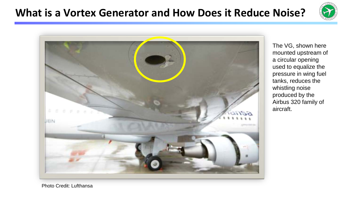# **What is a Vortex Generator and How Does it Reduce Noise?**





The VG, shown here mounted upstream of a circular opening used to equalize the pressure in wing fuel tanks, reduces the whistling noise produced by the Airbus 320 family of aircraft.

Photo Credit: Lufthansa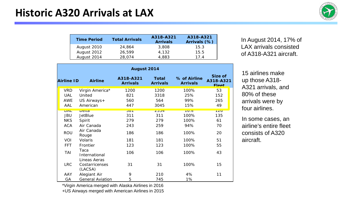

| <b>Time Period</b> | <b>Total Arrivals</b> | A318-A321<br><b>Arrivals</b> | A318-A321<br>Arrivals (%) |
|--------------------|-----------------------|------------------------------|---------------------------|
| August 2010        | 24,864                | 3,808                        | 15.3                      |
| August 2012        | 26.599                | 4.132                        | 15.5                      |
| August 2014        | 28.074                | 4.883                        | 174                       |

| August 2014 |                                           |                              |                                 |                                 |                                      |  |  |
|-------------|-------------------------------------------|------------------------------|---------------------------------|---------------------------------|--------------------------------------|--|--|
| Airline ID  | <b>Airline</b>                            | A318-A321<br><b>Arrivals</b> | <b>Total</b><br><b>Arrivals</b> | % of Airline<br><b>Arrivals</b> | Size of<br>A318-A321<br><b>Fleet</b> |  |  |
| <b>VRD</b>  | Virgin America*                           | 1200                         | 1200                            | 100%                            | 53                                   |  |  |
| <b>UAL</b>  | United                                    | 821                          | 3318                            | 25%                             | 152                                  |  |  |
| <b>AWE</b>  | US Airways+                               | 560                          | 564                             | 99%                             | 265                                  |  |  |
| AAL         | American                                  | 447                          | 3045                            | 15%                             | 49                                   |  |  |
| UAL         | $D$ elta                                  | $\overline{301}$             | 2004                            | 1070                            | 120                                  |  |  |
| JBU         | <b>JetBlue</b>                            | 311                          | 311                             | 100%                            | 135                                  |  |  |
| <b>NKS</b>  | Spirit                                    | 279                          | 279                             | 100%                            | 61                                   |  |  |
| <b>ACA</b>  | Air Canada                                | 243                          | 259                             | 94%                             | 70                                   |  |  |
| <b>ROU</b>  | Air Canada<br>Rouge                       | 186                          | 186                             | 100%                            | 20                                   |  |  |
| VOI         | Volaris                                   | 181                          | 181                             | 100%                            | 51                                   |  |  |
| <b>FFT</b>  | Frontier                                  | 123                          | 123                             | 100%                            | 55                                   |  |  |
| TAI         | Таса<br>International                     | 106                          | 106                             | 100%                            | 43                                   |  |  |
| <b>LRC</b>  | Lineas Aeras<br>Costarricenses<br>(LACSA) | 31                           | 31                              | 100%                            | 15                                   |  |  |
| AAY         | Alegiant Air                              | 9                            | 210                             | 4%                              | 11                                   |  |  |
| GA          | <b>General Aviation</b>                   | 5                            | 745                             | 1%                              |                                      |  |  |

In August 2014, 17% of LAX arrivals consisted of A318-A321 aircraft.

15 airlines make up those A318- A321 arrivals, and 80% of these arrivals were by four airlines.

In some cases, an airline's entire fleet consists of A320 aircraft.

\*Virgin America merged with Alaska Airlines in 2016

+US Airways merged with American Airlines in 2015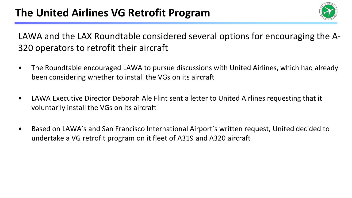#### **The United Airlines VG Retrofit Program**



LAWA and the LAX Roundtable considered several options for encouraging the A-320 operators to retrofit their aircraft

- The Roundtable encouraged LAWA to pursue discussions with United Airlines, which had already been considering whether to install the VGs on its aircraft
- LAWA Executive Director Deborah Ale Flint sent a letter to United Airlines requesting that it voluntarily install the VGs on its aircraft
- Based on LAWA's and San Francisco International Airport's written request, United decided to undertake a VG retrofit program on it fleet of A319 and A320 aircraft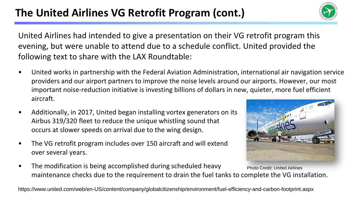## The United Airlines VG Retrofit Program (cont.)



United Airlines had intended to give a presentation on their VG retrofit program this evening, but were unable to attend due to a schedule conflict. United provided the following text to share with the LAX Roundtable:

- United works in partnership with the Federal Aviation Administration, international air navigation service providers and our airport partners to improve the noise levels around our airports. However, our most important noise-reduction initiative is investing billions of dollars in new, quieter, more fuel efficient aircraft.
- Additionally, in 2017, United began installing vortex generators on its Airbus 319/320 fleet to reduce the unique whistling sound that occurs at slower speeds on arrival due to the wing design.
- The VG retrofit program includes over 150 aircraft and will extend over several years.



• The modification is being accomplished during scheduled heavy maintenance checks due to the requirement to drain the fuel tanks to complete the VG installation. Photo Credit: United Airlines

https://www.united.com/web/en-US/content/company/globalcitizenship/environment/fuel-efficiency-and-carbon-footprint.aspx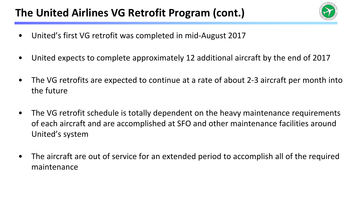#### The United Airlines VG Retrofit Program (cont.)



- United's first VG retrofit was completed in mid-August 2017
- United expects to complete approximately 12 additional aircraft by the end of 2017
- The VG retrofits are expected to continue at a rate of about 2-3 aircraft per month into the future
- The VG retrofit schedule is totally dependent on the heavy maintenance requirements of each aircraft and are accomplished at SFO and other maintenance facilities around United's system
- The aircraft are out of service for an extended period to accomplish all of the required maintenance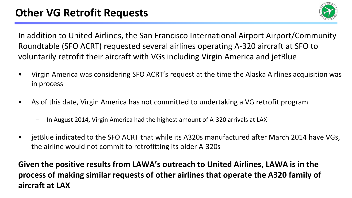

In addition to United Airlines, the San Francisco International Airport Airport/Community Roundtable (SFO ACRT) requested several airlines operating A-320 aircraft at SFO to voluntarily retrofit their aircraft with VGs including Virgin America and jetBlue

- Virgin America was considering SFO ACRT's request at the time the Alaska Airlines acquisition was in process
- As of this date, Virgin America has not committed to undertaking a VG retrofit program
	- In August 2014, Virgin America had the highest amount of A-320 arrivals at LAX
- jetBlue indicated to the SFO ACRT that while its A320s manufactured after March 2014 have VGs, the airline would not commit to retrofitting its older A-320s

**Given the positive results from LAWA's outreach to United Airlines, LAWA is in the process of making similar requests of other airlines that operate the A320 family of aircraft at LAX**